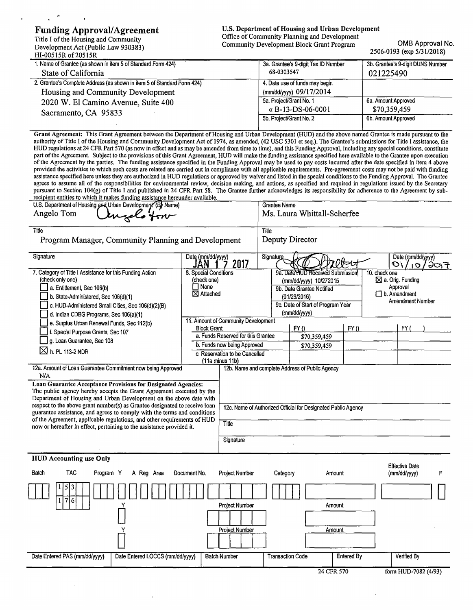#### Funding Approval/Agreement

Title I of the Housing and Community Development Act (Public Law 930383) HI-00515R of 20515R

U.S. Department of Housing and Urban Development Office of Community Planning and Development Community Development Block Grant Program OMB Approval No.

## 2506-0193 (exp 5/31/2018)

| 1. Name of Grantee (as shown in item 5 of Standard Form 424)<br>State of California              | 3a. Grantee's 9-digit Tax ID Number<br>68-0303547  | 3b. Grantee's 9-digit DUNS Number<br>021225490 |
|--------------------------------------------------------------------------------------------------|----------------------------------------------------|------------------------------------------------|
| 2. Grantee's Complete Address (as shown in item 5 of Standard Form 424)                          | 4. Date use of funds may begin                     |                                                |
| Housing and Community Development<br>2020 W. El Camino Avenue, Suite 400<br>Sacramento, CA 95833 | (mm/dd/yyyy) 09/17/2014<br>5a, Project/Grant No. 1 | 6a. Amount Approved                            |
|                                                                                                  | « $B-13-DS-06-0001$                                | \$70,359,459                                   |
|                                                                                                  | 5b. Project/Grant No. 2                            | 6b. Amount Approved                            |

Grant Agreement: This Grant Agreement between the Department of Housing and Urban Development (HUD) and the above named Grantee is made pursuant to the authority of Title I of the Housing and Community Development Act of 1974, as amended, (42 USC 5301 et seq.). The Grantee's submissions for Title I assistance, the HUD regulations at 24 CFR Part 570 (as now in effect and as may be amended from time to time), and this Funding Approval, including any special conditions, constitute part ofthe Agreement. Subject to the provisions of this Grant Agreement, HUD will make the funding assistance specified here available to the Grantee upon execution of the Agreement by the parties. The funding assistance specified in the Funding Approval may be used to pay costs incurred after the date specified in item 4 above provided the activities to which such costs are related are carried out in compliance with all applicable requirements. Pre-agreement costs may not be paid with funding assistance specified here unless they are authorized in HUD regulations or approved by waiver and listed in the special conditions to the Funding Approval. The Grantee agrees to assume all of the responsibilities for environmental review, decision making, and actions, as specified and required in regulations issued by the Secretary pursuant to Section 104(g) of Title I and published in 24 CFR Part 58. The Grantee further acknowledges its responsibility for adherence to the Agreement by sub-

| recipient entities to which it makes funding assistance hereunder available.     |                                |                                     |                                   |                                                               |            |                       |                      |      |
|----------------------------------------------------------------------------------|--------------------------------|-------------------------------------|-----------------------------------|---------------------------------------------------------------|------------|-----------------------|----------------------|------|
| U.S. Department of Housing and Urban Development (By Name)                       |                                |                                     | Grantee Name                      |                                                               |            |                       |                      |      |
| Angelo Tom                                                                       |                                |                                     |                                   | Ms. Laura Whittall-Scherfee                                   |            |                       |                      |      |
|                                                                                  |                                |                                     |                                   |                                                               |            |                       |                      |      |
| Title                                                                            |                                |                                     | Title                             |                                                               |            |                       |                      |      |
| Program Manager, Community Planning and Development                              |                                |                                     |                                   | Deputy Director                                               |            |                       |                      |      |
|                                                                                  |                                |                                     |                                   |                                                               |            |                       |                      |      |
| Signature                                                                        | Date (mm/dd/yyyy)              |                                     | Signature                         |                                                               |            |                       | Date (mm/dd/yyyy)    |      |
|                                                                                  | JAN                            | 2017                                |                                   |                                                               | 720€⊄      | O۱.                   | <b>ID</b>            | 30,7 |
| 7. Category of Title I Assistance for this Funding Action                        | 8. Special Conditions          |                                     | 9a. Date HUD Received Submission  |                                                               |            | 10. check one         |                      |      |
| (check only one)                                                                 | (check one)                    |                                     | (mm/dd/yyyy) 10/272015            |                                                               |            | ⊠ a. Orig. Funding    |                      |      |
| a. Entitlement, Sec 106(b)                                                       | $\square$ None                 |                                     | 9b. Date Grantee Notified         |                                                               |            | Approval              |                      |      |
| b. State-Administered, Sec 106(d)(1)                                             | ⊠ Attached                     |                                     | (01/29/2016)                      |                                                               |            | $\Box$ b. Amendment   |                      |      |
| c. HUD-Administered Small Cities, Sec 106(d)(2)(B)                               |                                |                                     | 9c. Date of Start of Program Year |                                                               |            | Amendment Number      |                      |      |
| d. Indian CDBG Programs, Sec 106(a)(1)                                           |                                |                                     |                                   | (mm/dd/yyyy)                                                  |            |                       |                      |      |
| e. Surplus Urban Renewal Funds, Sec 112(b)                                       |                                | 11. Amount of Community Development |                                   |                                                               |            |                       |                      |      |
| f. Special Purpose Grants, Sec 107                                               | <b>Block Grant</b>             |                                     |                                   | FY()                                                          | FY()       |                       | FY(                  |      |
| g. Loan Guarantee, Sec 108                                                       |                                | a. Funds Reserved for this Grantee  |                                   | \$70,359,459                                                  |            |                       |                      |      |
|                                                                                  |                                | b. Funds now being Approved         |                                   | \$70,359,459                                                  |            |                       |                      |      |
| $\boxtimes$ h. PL 113-2 NDR                                                      | c. Reservation to be Cancelled |                                     |                                   |                                                               |            |                       |                      |      |
|                                                                                  |                                | (11a minus 11b)                     |                                   |                                                               |            |                       |                      |      |
| 12a. Amount of Loan Guarantee Commitment now being Approved<br>N/A               |                                |                                     |                                   | 12b. Name and complete Address of Public Agency               |            |                       |                      |      |
| Loan Guarantee Acceptance Provisions for Designated Agencies:                    |                                |                                     |                                   |                                                               |            |                       |                      |      |
| The public agency hereby accepts the Grant Agreement executed by the             |                                |                                     |                                   |                                                               |            |                       |                      |      |
| Department of Housing and Urban Development on the above date with               |                                |                                     |                                   |                                                               |            |                       |                      |      |
| respect to the above grant number(s) as Grantee designated to receive loan       |                                |                                     |                                   | 12c. Name of Authorized Official for Designated Public Agency |            |                       |                      |      |
| guarantee assistance, and agrees to comply with the terms and conditions         |                                |                                     |                                   |                                                               |            |                       |                      |      |
| of the Agreement, applicable regulations, and other requirements of HUD<br>Title |                                |                                     |                                   |                                                               |            |                       |                      |      |
| now or hereafter in effect, pertaining to the assistance provided it.            |                                |                                     |                                   |                                                               |            |                       |                      |      |
|                                                                                  |                                | Signature                           |                                   |                                                               |            |                       |                      |      |
|                                                                                  |                                |                                     |                                   |                                                               |            |                       |                      |      |
| <b>HUD Accounting use Only</b>                                                   |                                |                                     |                                   |                                                               |            |                       |                      |      |
|                                                                                  |                                |                                     |                                   |                                                               |            | <b>Effective Date</b> |                      |      |
| <b>TAC</b><br>Batch<br>Program Y<br>A Reg Area                                   | Document No.                   | <b>Project Number</b>               | Category                          |                                                               | Amount     | (mm/dd/yyyy)          |                      | F    |
|                                                                                  |                                |                                     |                                   |                                                               |            |                       |                      |      |
| 5                                                                                |                                |                                     |                                   |                                                               |            |                       |                      |      |
| 176                                                                              |                                |                                     |                                   |                                                               |            |                       |                      |      |
|                                                                                  |                                | Project Number                      |                                   |                                                               | Amount     |                       |                      |      |
|                                                                                  |                                |                                     |                                   |                                                               |            |                       |                      |      |
|                                                                                  |                                |                                     |                                   |                                                               |            |                       |                      |      |
|                                                                                  |                                | Project Number                      |                                   |                                                               | Amount     |                       |                      |      |
|                                                                                  |                                |                                     |                                   |                                                               |            |                       |                      |      |
|                                                                                  |                                |                                     |                                   |                                                               |            |                       |                      |      |
| Date Entered PAS (mm/dd/yyyy)<br>Date Entered LOCCS (mm/dd/yyyy)                 |                                | <b>Batch Number</b>                 | <b>Transaction Code</b>           |                                                               | Entered By |                       | Verified By          |      |
|                                                                                  |                                |                                     |                                   |                                                               |            |                       |                      |      |
|                                                                                  |                                |                                     |                                   |                                                               | 24 CFR 570 |                       | form HUD-7082 (4/93) |      |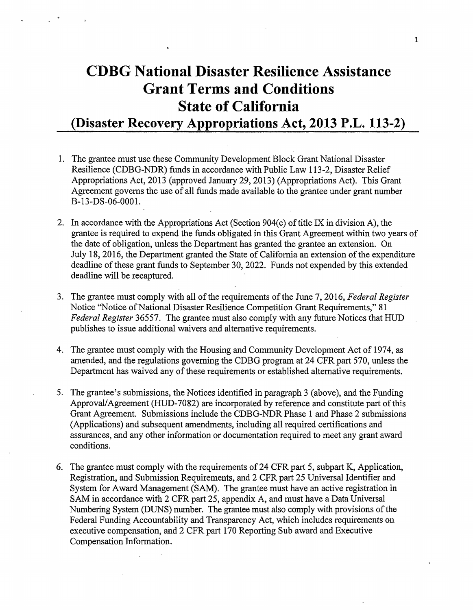# **CDBG National Disaster Resilience Assistance Grant Terms and Conditions State of California (Disaster Recovery Appropriations Act, 2013 P.L. 113-2)**

- 1. The grantee must use these Community Development Block Grant National Disaster Resilience (CDBG-NDR) funds in accordance with Public Law 113-2, Disaster Relief Appropriations Act, 2013 (approved January 29, 2013) (Appropriations Act). This Grant Agreement governs the use of all funds made available to the grantee under grant number B-13-DS-06-0001.
- 2. In accordance with the Appropriations Act (Section 904(c) of title IX in division A), the grantee is required to expend the funds obligated in this Grant Agreement within two years of the date of obligation, unless the Department has granted the grantee an extension. On July 18, 2016, the Department granted the State of California an extension of the expenditure deadline of these grant funds to September 30, 2022. Funds not expended by this extended deadline will be recaptured.
- 3. The grantee must comply with all of the requirements of the June 7, 2016, *Federal Register* Notice "Notice of National Disaster Resilience Competition Grant Requirements," 81 *Federal Register* 36557. The grantee must also comply with any future Notices that HUD publishes to issue additional waivers and alternative requirements.
- 4. The grantee must comply with the Housing and Community Development Act of 1974, as amended, and the regulations governing the CDBG program at 24 CFR part 570, unless the Department has waived any of these requirements or established alternative requirements.
- 5. The grantee's submissions, the Notices identified in paragraph 3 (above), and the Funding Approval/Agreement (HUD-7082) are incorporated by reference and constitute part of this Grant Agreement. Submissions include the CDBG-NDR Phase 1 and Phase 2 submissions (Applications) and subsequent amendments, including all required certifications and assurances, and any other information or documentation required to meet any grant award conditions.
- 6. The grantee must comply with the requirements of24 CFR part 5, subpart K, Application, Registration, and Submission Requirements, and 2 CFR part 25 Universal Identifier and System for Award Management (SAM). The grantee must have an active registration in SAM in accordance with 2 CFR part 25, appendix A, and must have a Data Universal Numbering System (DUNS) number. The grantee must also comply with provisions of the Federal Funding Accountability and Transparency Act, which includes requirements on executive compensation, and 2 CFR part 170 Reporting Sub award and Executive Compensation Information.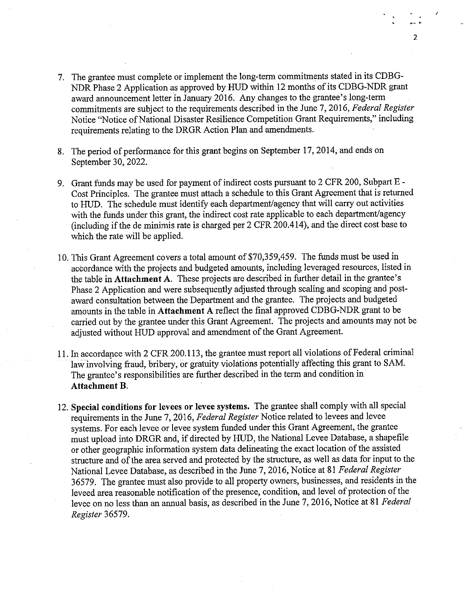- 7. The grantee must complete or implement the long-term commitments stated in its CDBG-NDR Phase 2 Application as approved by HUD within 12 months of its CDBG-NDR grant award announcement letter in January 2016. Any changes to the grantee's long-term commitments are subject to the requirements described in the June 7, 2016, *Federal Register*  Notice "Notice of National Disaster Resilience Competition Grant Requirements," including requirements relating to the DRGR Action **Plan** and amendments.
- 8. The period of performance for this grant begins on September 17, 2014, and ends on September 30, 2022.
- 9. Grant funds may be used for payment of indirect costs pursuant to 2 CFR 200, Subpart E-Cost Principles. The grantee must attach a schedule to this Grant Agreement that is returned to HUD. The schedule must identify each department/agency that will carry out activities with the funds under this grant, the indirect cost rate applicable to each department/agency (including if the de minimis rate is charged per 2 CFR 200.414), and the direct cost base to which the rate will be applied.
- 10. This Grant Agreement covers a total amount of \$70,359,459. The funds must be used in accordance with the projects and budgeted amounts, including leveraged resources, listed in the table in **Attachment A.** These projects are described in further detail in the grantee's Phase 2 Application and were subsequently adjusted through scaling and scoping and postaward consultation between the Department and the grantee. The projects and budgeted amounts in the table in **Attachment A** reflect the final approved CDBG-NDR grant to be carried out by the grantee under this Grant Agreement. The projects and amounts may not be adjusted without HUD approval and amendment of the Grant Agreement.
- 11. In accordance with 2 CFR 200.113, the grantee must report all violations of Federal criminal law involving fraud, bribery, or gratuity violations potentially affecting this grant to SAM. The grantee's responsibilities are further described in the term and condition in **Attachment B.**
- 12. **Special conditions for levees or levee systems.** The grantee shall comply with all special requirements in the June 7, 2016, *Federal Register* Notice related to levees and levee systems. For each levee or levee system funded under this Grant Agreement, the grantee must upload into DRGR and, if directed by HUD, the National Levee Database, a shapefile or other geographic information system data delineating the exact location of the assisted structure and of the area served and protected by the structure, as well as data for input to the National Levee Database, as described in the June 7, 2016, Notice at 81 *Federal Register*  36579. The grantee must also provide to all property owners, businesses, and residents in the leveed area reasonable notification of the presence, condition, and level of protection of the levee on no less than an annual basis, as described in the June 7, 2016, Notice at 81 *Federal Register* 36579.

 $\overline{\mathbf{2}}$ ......,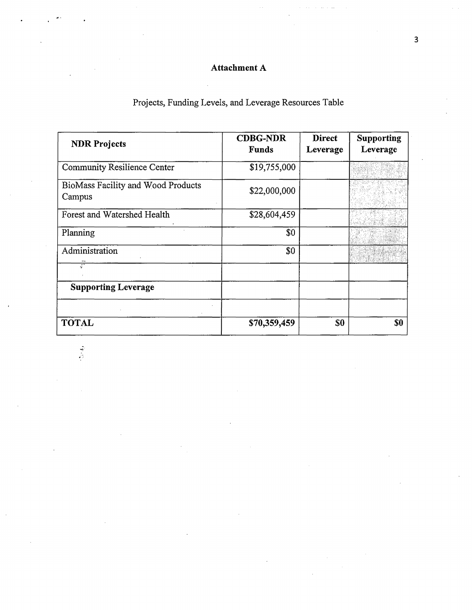## **Attachment A**

## Projects, Funding Levels, and Leverage Resources Table

| <b>NDR Projects</b>                          | <b>CDBG-NDR</b><br><b>Funds</b> | <b>Direct</b><br>Leverage | <b>Supporting</b><br>Leverage |
|----------------------------------------------|---------------------------------|---------------------------|-------------------------------|
| <b>Community Resilience Center</b>           | \$19,755,000                    |                           |                               |
| BioMass Facility and Wood Products<br>Campus | \$22,000,000                    |                           |                               |
| Forest and Watershed Health                  | \$28,604,459                    |                           |                               |
| Planning                                     | $\$0$                           |                           |                               |
| Administration                               | \$0                             |                           |                               |
|                                              |                                 |                           |                               |
| <b>Supporting Leverage</b>                   |                                 |                           |                               |
|                                              |                                 |                           |                               |
| <b>TOTAL</b>                                 | \$70,359,459                    | \$0                       | \$0                           |

 $\frac{1}{3}$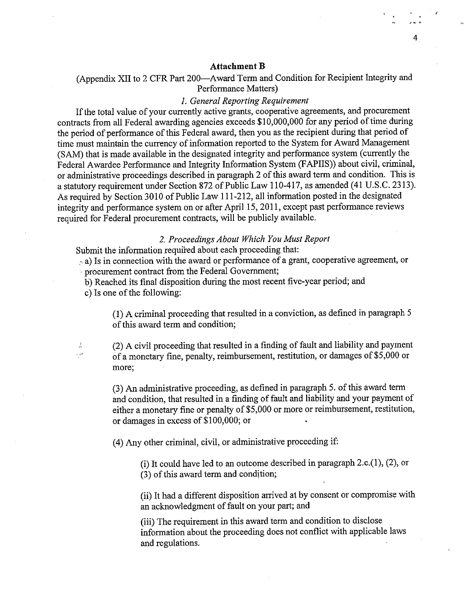#### 4

#### **Attachment B**

(Appendix XII to 2 CFR Part 200-Award Term and Condition for Recipient Integrity and Performance Matters)

#### *1. General Reporting Requirement*

If the total value of your currently active grants, cooperative agreements, and procurement contracts from all Federal awarding agencies exceeds  $$10,000,000$  for any period of time during the period of performance of this Federal award, then you as the recipient during that period of time must maintain the currency of information reported to the System for Award Management (SAM) that is made available in the designated integrity and performance system ( currently the Federal Awardee Performance and Integrity Information System (FAPIIS)) about civil, criminal, or administrative proceedings described in paragraph 2 of this award term and condition. This is a statutory requirement under Section 872 of Public Law 110-417, as amended (41 U.S.C. 2313). As required by Section 3010 of Public Law 111-212, all information posted in the designated integrity and performance system on or after April 15, 2011, except past performance reviews required for Federal procurement contracts, will be publicly available.

#### *2. Proceedings About Which You Must Report*

Submit the information required about each proceeding that:

 $_{\odot}$  a) Is in connection with the award or performance of a grant, cooperative agreement, or · procurement contract from the Federal Government;

b) Reached its final disposition during the most recent five-year period; and

c) Is one of the following:

 $\vec{\mathbb{A}}$ منديد (1) A criminal proceeding that resulted in a conviction, as defined in paragraph 5 of this award term and condition;

(2) A civil proceeding that resulted in a finding of fault and liability and payment of a monetary fine, penalty, reimbursement, restitution, or damages of \$5,000 or more;

(3) An administrative proceeding, as defined in paragraph 5. of this award term and condition, that resulted in a finding of fault and liability and your payment of either a monetary fine or penalty of \$5,000 or more or reimbursement, restitution, or damages in excess of \$100,000; or

(4) Any other criminal, civil, or administrative proceeding if:

(i) It could have led to an outcome described in paragraph  $2.c.(1)$ ,  $(2)$ , or  $(3)$  of this award term and condition;

(ii) It had a different disposition arrived at by consent or compromise with an acknowledgment of fault on your part; and

(iii) The requirement in this award term and condition to disclose information about the proceeding does not conflict with applicable laws and regulations.